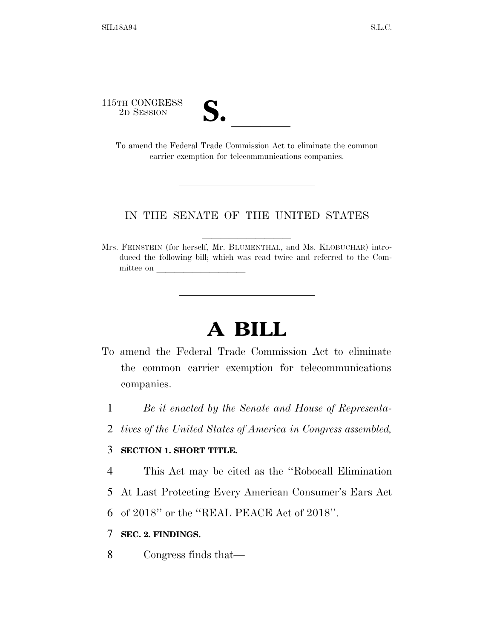115TH CONGRESS



TH CONGRESS<br>
2D SESSION<br>
To amend the Federal Trade Commission Act to eliminate the common carrier exemption for telecommunications companies.

## IN THE SENATE OF THE UNITED STATES

Mrs. FEINSTEIN (for herself, Mr. BLUMENTHAL, and Ms. KLOBUCHAR) introduced the following bill; which was read twice and referred to the Committee on

## **A BILL**

- To amend the Federal Trade Commission Act to eliminate the common carrier exemption for telecommunications companies.
	- 1 *Be it enacted by the Senate and House of Representa-*
	- 2 *tives of the United States of America in Congress assembled,*

## 3 **SECTION 1. SHORT TITLE.**

- 4 This Act may be cited as the ''Robocall Elimination
- 5 At Last Protecting Every American Consumer's Ears Act
- 6 of 2018'' or the ''REAL PEACE Act of 2018''.

## 7 **SEC. 2. FINDINGS.**

8 Congress finds that—